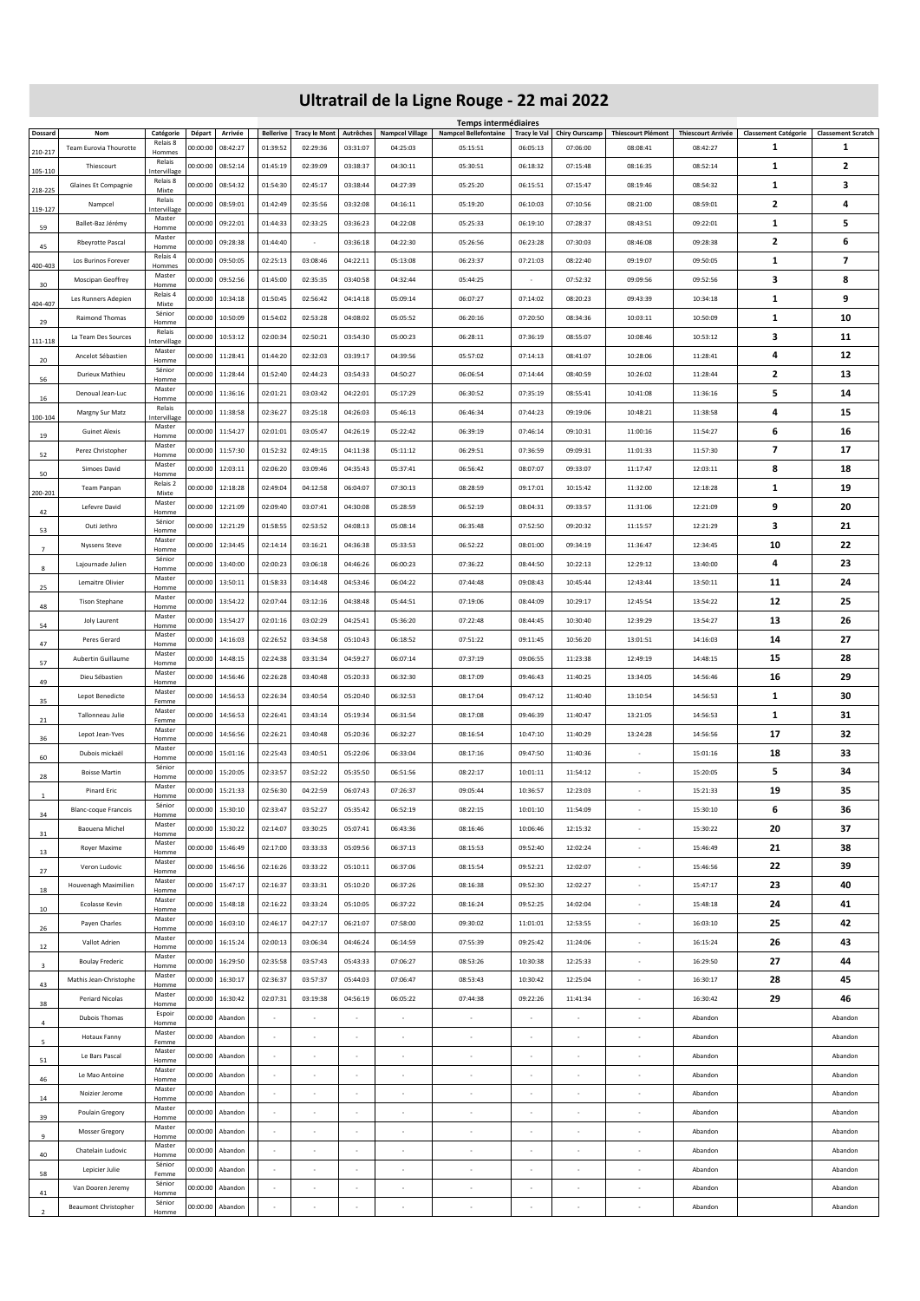## **Ultratrail de la Ligne Rouge - 22 mai 2022**

|                |                                                  |                        |                      |                    |                  |                          |          |                               | Temps intermédiaires                                 |                                                      |                          |                                                |                           |                             |                                |
|----------------|--------------------------------------------------|------------------------|----------------------|--------------------|------------------|--------------------------|----------|-------------------------------|------------------------------------------------------|------------------------------------------------------|--------------------------|------------------------------------------------|---------------------------|-----------------------------|--------------------------------|
| Dossard        | Nom                                              | Catégorie<br>Relais 8  | Départ               | Arrivée            | <b>Bellerive</b> | Tracy le Mont Autrêches  |          | <b>Nampcel Village</b>        | <b>Nampcel Bellefontaine</b>                         |                                                      |                          | Tracy le Val Chiry Ourscamp Thiescourt Plémont | <b>Thiescourt Arrivée</b> | <b>Classement Catégorie</b> | <b>Classement Scratch</b><br>1 |
| 210-217        | Team Eurovia Thourotte                           | Hommes<br>Relais       | 00:00:00             | 08:42:27           | 01:39:52         | 02:29:36                 | 03:31:07 | 04:25:03                      | 05:15:51                                             | 06:05:13                                             | 07:06:00                 | 08:08:41                                       | 08:42:27                  | 1                           |                                |
| 105-110        | Thiescourt                                       | Intervillage           | 00:00:00             | 08:52:14           | 01:45:19         | 02:39:09                 | 03:38:37 | 04:30:11                      | 05:30:51                                             | 06:18:32                                             | 07:15:48                 | 08:16:35                                       | 08:52:14                  | 1                           | $\mathbf{z}$                   |
| 218-225        | Glaines Et Compagnie                             | Relais 8<br>Mixte      | 00:00:00             | 08:54:32           | 01:54:30         | 02:45:17                 | 03:38:44 | 04:27:39                      | 05:25:20                                             | 06:15:51                                             | 07:15:47                 | 08:19:46                                       | 08:54:32                  | 1                           | з                              |
|                | Nampcel                                          | Relais                 | 00:00:00             | 08:59:01           | 01:42:49         | 02:35:56                 | 03:32:08 | 04:16:11                      | 05:19:20                                             | 06:10:03                                             | 07:10:56                 | 08:21:00                                       | 08:59:01                  | $\overline{\mathbf{2}}$     | 4                              |
| 119-127        |                                                  | Intervillage<br>Master |                      |                    |                  |                          |          |                               |                                                      |                                                      |                          |                                                |                           |                             |                                |
| 59             | Ballet-Baz Jérémy                                | Homme                  | 00:00:00             | 09:22:01           | 01:44:33         | 02:33:25                 | 03:36:23 | 04:22:08                      | 05:25:33                                             | 06:19:10                                             | 07:28:37                 | 08:43:51                                       | 09:22:01                  | 1                           | 5                              |
| 45             | <b>Rbeyrotte Pascal</b>                          | Master<br>Homme        | 00:00:00             | 09:28:38           | 01:44:40         | $\cdot$                  | 03:36:18 | 04:22:30                      | 05:26:56                                             | 06:23:28                                             | 07:30:03                 | 08:46:08                                       | 09:28:38                  | $\overline{\mathbf{2}}$     | 6                              |
| 400-403        | Los Burinos Forever                              | Relais 4<br>Hommes     | 00:00:00             | 09:50:05           | 02:25:13         | 03:08:46                 | 04:22:11 | 05:13:08                      | 06:23:37                                             | 07:21:03                                             | 08:22:40                 | 09:19:07                                       | 09:50:05                  | 1                           | 7                              |
|                | Moscipan Geoffrey                                | Master                 | 00:00:00             | 09:52:56           | 01:45:00         | 02:35:35                 | 03:40:58 | 04:32:44                      | 05:44:25                                             | $\cdot$                                              | 07:52:32                 | 09:09:56                                       | 09:52:56                  | з                           | 8                              |
| 30             | Les Runners Adepien                              | Homme<br>Relais 4      | 00:00:00             | 10:34:18           | 01:50:45         | 02:56:42                 | 04:14:18 | 05:09:14                      | 06:07:27                                             | 07:14:02                                             | 08:20:23                 | 09:43:39                                       | 10:34:18                  | 1                           | 9                              |
| 404-407        |                                                  | Mixte<br>Sénior        |                      |                    |                  |                          |          |                               |                                                      |                                                      |                          |                                                |                           |                             |                                |
| 29             | Raimond Thomas                                   | Homme                  | 00:00:00             | 10:50:09           | 01:54:02         | 02:53:28                 | 04:08:02 | 05:05:52                      | 06:20:16                                             | 07:20:50                                             | 08:34:36                 | 10:03:11                                       | 10:50:09                  | 1                           | 10                             |
| 111-118        | La Team Des Sources                              | Relais<br>Intervillage | 00:00:00             | 10:53:12           | 02:00:34         | 02:50:21                 | 03:54:30 | 05:00:23                      | 06:28:11                                             | 07:36:19                                             | 08:55:07                 | 10:08:46                                       | 10:53:12                  | з                           | 11                             |
| 20             | Ancelot Sébastien                                | Master<br>Homme        | 00:00:00             | 11:28:41           | 01:44:20         | 02:32:03                 | 03:39:17 | 04:39:56                      | 05:57:02                                             | 07:14:13                                             | 08:41:07                 | 10:28:06                                       | 11:28:41                  | 4                           | 12                             |
|                | Durieux Mathieu                                  | Sénior                 | 00:00:00             | 11:28:44           | 01:52:40         | 02:44:23                 | 03:54:33 | 04:50:27                      | 06:06:54                                             | 07:14:44                                             | 08:40:59                 | 10:26:02                                       | 11:28:44                  | $\overline{\mathbf{2}}$     | 13                             |
| 56             |                                                  | Homme<br>Master        |                      |                    |                  |                          |          |                               |                                                      |                                                      |                          |                                                |                           |                             |                                |
| 16             | Denoual Jean-Luc                                 | Homme<br>Relais        | 00:00:00             | 11:36:16           | 02:01:21         | 03:03:42                 | 04:22:01 | 05:17:29                      | 06:30:52                                             | 07:35:19                                             | 08:55:41                 | 10:41:08                                       | 11:36:16                  | 5                           | 14                             |
| 100-104        | Margny Sur Matz                                  | Intervillage           | 00:00:00             | 11:38:58           | 02:36:27         | 03:25:18                 | 04:26:03 | 05:46:13                      | 06:46:34                                             | 07:44:23                                             | 09:19:06                 | 10:48:21                                       | 11:38:58                  | 4                           | 15                             |
| 19             | <b>Guinet Alexis</b>                             | Master<br>Homme        | 00:00:00             | 11:54:27           | 02:01:01         | 03:05:47                 | 04:26:19 | 05:22:42                      | 06:39:19                                             | 07:46:14                                             | 09:10:31                 | 11:00:16                                       | 11:54:27                  | 6                           | 16                             |
|                | Perez Christopher                                | Master                 | 00:00:00             | 11:57:30           | 01:52:32         | 02:49:15                 | 04:11:38 | 05:11:12                      | 06:29:51                                             | 07:36:59                                             | 09:09:31                 | 11:01:33                                       | 11:57:30                  | 7                           | 17                             |
| 52             | Simoes David                                     | Homme<br>Master        | 00:00:00             | 12:03:11           | 02:06:20         | 03:09:46                 | 04:35:43 | 05:37:41                      | 06:56:42                                             | 08:07:07                                             | 09:33:07                 | 11:17:47                                       | 12:03:11                  | 8                           | 18                             |
| 50             |                                                  | Homme<br>Relais 2      |                      |                    |                  |                          |          |                               |                                                      |                                                      |                          |                                                |                           |                             |                                |
| 200-201        | Team Panpan                                      | Mixte                  | 00:00:00             | 12:18:28           | 02:49:04         | 04:12:58                 | 06:04:07 | 07:30:13                      | 08:28:59                                             | 09:17:01                                             | 10:15:42                 | 11:32:00                                       | 12:18:28                  | 1                           | 19                             |
| 42             | Lefevre David                                    | Master<br>Homme        | 00:00:00             | 12:21:09           | 02:09:40         | 03:07:41                 | 04:30:08 | 05:28:59                      | 06:52:19                                             | 08:04:31                                             | 09:33:57                 | 11:31:06                                       | 12:21:09                  | 9                           | 20                             |
| 53             | Outi Jethro                                      | Sénior<br>Homme        | 00:00:00             | 12:21:29           | 01:58:55         | 02:53:52                 | 04:08:13 | 05:08:14                      | 06:35:48                                             | 07:52:50                                             | 09:20:32                 | 11:15:57                                       | 12:21:29                  | з                           | 21                             |
|                | <b>Nyssens Steve</b>                             | Master                 | 00:00:00             | 12:34:45           | 02:14:14         | 03:16:21                 | 04:36:38 | 05:33:53                      | 06:52:22                                             | 08:01:00                                             | 09:34:19                 | 11:36:47                                       | 12:34:45                  | 10                          | 22                             |
| $\overline{7}$ |                                                  | Homme<br>Sénior        | 00:00:00             |                    | 02:00:23         | 03:06:18                 | 04:46:26 | 06:00:23                      | 07:36:22                                             | 08:44:50                                             | 10:22:13                 | 12:29:12                                       | 13:40:00                  | 4                           | 23                             |
| 8              | Lajournade Julien                                | Homme<br>Master        |                      | 13:40:00           |                  |                          |          |                               |                                                      |                                                      |                          |                                                |                           |                             |                                |
| 25             | Lemaitre Olivier                                 | Homme                  | 00:00:00             | 13:50:11           | 01:58:33         | 03:14:48                 | 04:53:46 | 06:04:22                      | 07:44:48                                             | 09:08:43                                             | 10:45:44                 | 12:43:44                                       | 13:50:11                  | 11                          | 24                             |
| 48             | <b>Tison Stephane</b>                            | Master<br>Homme        | 00:00:00             | 13:54:22           | 02:07:44         | 03:12:16                 | 04:38:48 | 05:44:51                      | 07:19:06                                             | 08:44:09                                             | 10:29:17                 | 12:45:54                                       | 13:54:22                  | 12                          | 25                             |
| 54             | Joly Laurent                                     | Master<br>Homme        | 00:00:00             | 13:54:27           | 02:01:16         | 03:02:29                 | 04:25:41 | 05:36:20                      | 07:22:48                                             | 08:44:45                                             | 10:30:40                 | 12:39:29                                       | 13:54:27                  | 13                          | 26                             |
|                | Peres Gerard                                     | Master                 | 00:00:00             | 14:16:03           | 02:26:52         | 03:34:58                 | 05:10:43 | 06:18:52                      | 07:51:22                                             | 09:11:45                                             | 10:56:20                 | 13:01:51                                       | 14:16:03                  | 14                          | 27                             |
| 47             |                                                  | Homme<br>Master        |                      |                    |                  |                          |          |                               |                                                      |                                                      |                          |                                                |                           |                             |                                |
| 57             | Aubertin Guillaume                               | Homme                  | 00:00:00             | 14:48:15           | 02:24:38         | 03:31:34                 | 04:59:27 | 06:07:14                      | 07:37:19                                             | 09:06:55                                             | 11:23:38                 | 12:49:19                                       | 14:48:15                  | 15                          | 28                             |
| 49             | Dieu Sébastien                                   | Master<br>Homme        | 00:00:00             | 14:56:46           | 02:26:28         | 03:40:48                 | 05:20:33 | 06:32:30                      | 08:17:09                                             | 09:46:43                                             | 11:40:25                 | 13:34:05                                       | 14:56:46                  | 16                          | 29                             |
| 35             | Lepot Benedicte                                  | Master<br>Femme        | 00:00:00             | 14:56:53           | 02:26:34         | 03:40:54                 | 05:20:40 | 06:32:53                      | 08:17:04                                             | 09:47:12                                             | 11:40:40                 | 13:10:54                                       | 14:56:53                  | 1                           | 30                             |
| 21             | Tallonneau Julie                                 | Master<br>Femme        | 00:00:00             | 14:56:53           | 02:26:41         | 03:43:14                 | 05:19:34 | 06:31:54                      | 08:17:08                                             | 09:46:39                                             | 11:40:47                 | 13:21:05                                       | 14:56:53                  | 1                           | 31                             |
|                | Lepot Jean-Yves                                  | Master                 | 00:00:00             | 14:56:56           | 02:26:21         | 03:40:48                 | 05:20:36 | 06:32:27                      | 08:16:54                                             | 10:47:10                                             | 11:40:29                 | 13:24:28                                       | 14:56:56                  | 17                          | 32                             |
| 36             |                                                  |                        |                      |                    |                  |                          |          |                               |                                                      |                                                      |                          |                                                |                           |                             |                                |
|                |                                                  | Homme<br>Master        |                      |                    |                  |                          |          |                               |                                                      |                                                      |                          |                                                |                           |                             |                                |
| 60             | Dubois mickaël                                   | Homme                  | 00:00:00             | 15:01:16           | 02:25:43         | 03:40:51                 | 05:22:06 | 06:33:04                      | 08:17:16                                             | 09:47:50                                             | 11:40:36                 | $\cdot$                                        | 15:01:16                  | 18                          | 33                             |
| 28             | <b>Boisse Martin</b>                             | Sénior<br>Homme        | 00:00:00             | 15:20:05           | 02:33:57         | 03:52:22                 | 05:35:50 | 06:51:56                      | 08:22:17                                             | 10:01:11                                             | 11:54:12                 | ٠                                              | 15:20:05                  | 5                           | 34                             |
|                | Pinard Eric                                      | Master                 | 00:00:00             | 15:21:33           | 02:56:30         | 04:22:59                 | 06:07:43 | 07:26:37                      | 09:05:44                                             | 10:36:57                                             | 12:23:03                 | $\overline{\phantom{a}}$                       | 15:21:33                  | 19                          | 35                             |
|                | <b>Blanc-coque Francois</b>                      | Homme<br>Sénior        | 00:00:00             | 15:30:10           | 02:33:47         | 03:52:27                 | 05:35:42 | 06:52:19                      | 08:22:15                                             | 10:01:10                                             | 11:54:09                 |                                                | 15:30:10                  | 6                           | 36                             |
| 34             |                                                  | Homme<br>Master        |                      |                    |                  |                          |          |                               |                                                      |                                                      |                          |                                                |                           |                             |                                |
| 31             | Baouena Michel                                   | Homme                  | 00:00:00             | 15:30:22           | 02:14:07         | 03:30:25                 | 05:07:41 | 06:43:36                      | 08:16:46                                             | 10:06:46                                             | 12:15:32                 |                                                | 15:30:22                  | 20                          | 37                             |
| 13             | Royer Maxime                                     | Master<br>Homme        | 00:00:00             | 15:46:49           | 02:17:00         | 03:33:33                 | 05:09:56 | 06:37:13                      | 08:15:53                                             | 09:52:40                                             | 12:02:24                 |                                                | 15:46:49                  | 21                          | 38                             |
| 27             | Veron Ludovic                                    | Master<br>Homme        | 00:00:00             | 15:46:56           | 02:16:26         | 03:33:22                 | 05:10:11 | 06:37:06                      | 08:15:54                                             | 09:52:21                                             | 12:02:07                 |                                                | 15:46:56                  | 22                          | 39                             |
| 18             | Houvenagh Maximilien                             | Master<br>Homme        | 00:00:00             | 15:47:17           | 02:16:37         | 03:33:31                 | 05:10:20 | 06:37:26                      | 08:16:38                                             | 09:52:30                                             | 12:02:27                 |                                                | 15:47:17                  | 23                          | 40                             |
|                | Ecolasse Kevin                                   | Master                 | 00:00:00             | 15:48:18           | 02:16:22         | 03:33:24                 | 05:10:05 | 06:37:22                      | 08:16:24                                             | 09:52:25                                             | 14:02:04                 | ٠                                              | 15:48:18                  | 24                          | 41                             |
| 10             |                                                  | Homme<br>Master        |                      |                    |                  |                          |          |                               |                                                      |                                                      |                          |                                                |                           |                             |                                |
| 26             | Payen Charles                                    | Homme                  | 00:00:00             | 16:03:10           | 02:46:17         | 04:27:17                 | 06:21:07 | 07:58:00                      | 09:30:02                                             | 11:01:01                                             | 12:53:55                 | ×                                              | 16:03:10                  | 25                          | 42                             |
| 12             | Vallot Adrien                                    | Master<br>Homme        | 00:00:00             | 16:15:24           | 02:00:13         | 03:06:34                 | 04:46:24 | 06:14:59                      | 07:55:39                                             | 09:25:42                                             | 11:24:06                 | ٠                                              | 16:15:24                  | 26                          | 43                             |
| 3              | <b>Boulay Frederic</b>                           | Master<br>Homme        | 00:00:00             | 16:29:50           | 02:35:58         | 03:57:43                 | 05:43:33 | 07:06:27                      | 08:53:26                                             | 10:30:38                                             | 12:25:33                 | ×                                              | 16:29:50                  | 27                          | 44                             |
|                | Mathis Jean-Christophe                           | Master                 | 00:00:00             | 16:30:17           | 02:36:37         | 03:57:37                 | 05:44:03 | 07:06:47                      | 08:53:43                                             | 10:30:42                                             | 12:25:04                 | ٠                                              | 16:30:17                  | 28                          | 45                             |
| 43             | <b>Periard Nicolas</b>                           | Homme<br>Master        | 00:00:00             | 16:30:42           | 02:07:31         | 03:19:38                 | 04:56:19 | 06:05:22                      | 07:44:38                                             | 09:22:26                                             | 11:41:34                 | ٠                                              | 16:30:42                  |                             |                                |
| 38             |                                                  | Homme<br>Espoir        |                      |                    |                  |                          |          |                               |                                                      |                                                      |                          |                                                |                           | 29                          | 46                             |
| $\overline{a}$ | Dubois Thomas                                    | Homme                  | 00:00:00             | Abandon            |                  | ٠                        |          | ٠                             | ٠                                                    | ٠                                                    |                          | ٠                                              | Abandon                   |                             | Abandon                        |
| 5              | Hotaux Fanny                                     | Master<br>Femme        | 00:00:00             | Abandon            |                  |                          |          | ×,                            | ٠                                                    |                                                      |                          |                                                | Abandon                   |                             | Abandon                        |
| 51             | Le Bars Pascal                                   | Master<br>Homme        | 00:00:00             | Abandon            |                  |                          |          | ×                             |                                                      |                                                      |                          |                                                | Abandon                   |                             | Abandon                        |
|                | Le Mao Antoine                                   | Master                 | 00:00:00             | Abandon            |                  |                          |          |                               |                                                      |                                                      |                          |                                                | Abandon                   |                             | Abandon                        |
| 46             | Noizier Jerome                                   | Homme<br>Master        |                      | Abandon            |                  |                          |          | ٠                             | ٠                                                    | ٠                                                    |                          |                                                | Abandon                   |                             | Abandon                        |
| 14             |                                                  | Homme<br>Master        | 00:00:00             |                    |                  |                          |          |                               |                                                      |                                                      |                          |                                                |                           |                             |                                |
| 39             | Poulain Gregory                                  | Homme                  | 00:00:00             | Abandon            |                  |                          |          | ٠                             | ٠                                                    |                                                      |                          |                                                | Abandon                   |                             | Abandon                        |
| $\mathbf{q}$   | <b>Mosser Gregory</b>                            | Master<br>Homme        | 00:00:00             | Abandon            |                  |                          | $\sim$   | $\overline{\phantom{a}}$      | ٠                                                    | ٠                                                    | $\sim$                   | ٠                                              | Abandon                   |                             | Abandon                        |
| 40             | Chatelain Ludovic                                | Master<br>Homme        | 00:00:00             | Abandon            |                  |                          |          | $\overline{\phantom{a}}$      | $\overline{\phantom{a}}$                             | $\overline{\phantom{a}}$                             |                          | ÷                                              | Abandon                   |                             | Abandon                        |
|                | Lepicier Julie                                   | Sénior                 | 00:00:00             | Abandon            |                  |                          |          | $\overline{\phantom{a}}$      | $\overline{\phantom{a}}$                             | $\overline{\phantom{a}}$                             |                          | $\overline{\phantom{a}}$                       | Abandon                   |                             | Abandon                        |
| 58             |                                                  | Femme<br>Sénior        |                      |                    | $\cdot$          |                          | $\cdot$  |                               |                                                      |                                                      | $\overline{\phantom{a}}$ |                                                |                           |                             |                                |
| 41             | Van Dooren Jeremy<br><b>Beaumont Christopher</b> | Homme<br>Sénior        | 00:00:00<br>00:00:00 | Abandon<br>Abandon |                  | $\overline{\phantom{a}}$ |          | $\overline{\phantom{a}}$<br>× | $\overline{\phantom{a}}$<br>$\overline{\phantom{a}}$ | $\overline{\phantom{a}}$<br>$\overline{\phantom{a}}$ |                          | $\overline{\phantom{a}}$<br>×                  | Abandon<br>Abandon        |                             | Abandon<br>Abandon             |